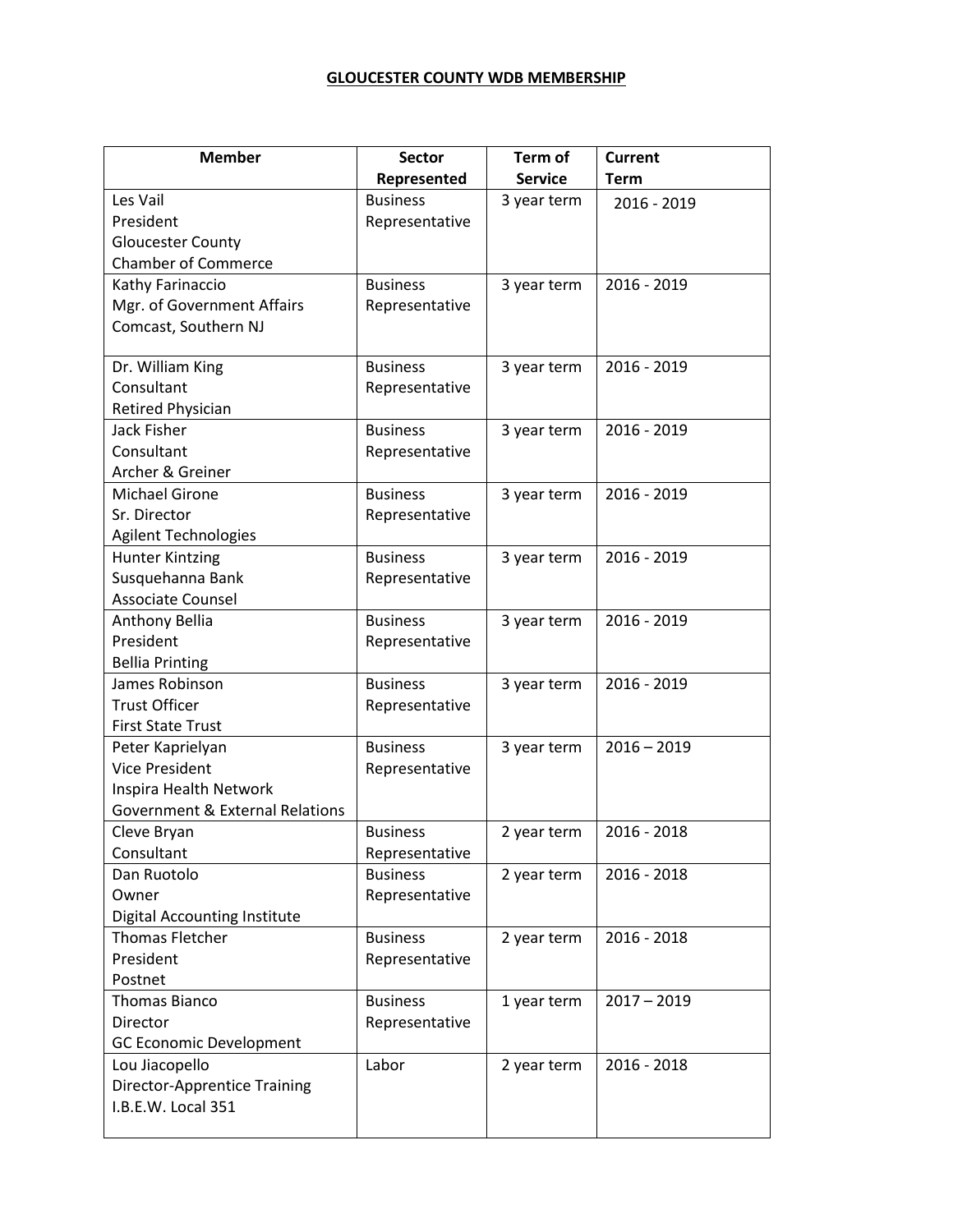## **GLOUCESTER COUNTY WDB MEMBERSHIP**

| <b>Member</b>                              | <b>Sector</b>   | Term of        | <b>Current</b> |
|--------------------------------------------|-----------------|----------------|----------------|
|                                            | Represented     | <b>Service</b> | <b>Term</b>    |
| Les Vail                                   | <b>Business</b> | 3 year term    | 2016 - 2019    |
| President                                  | Representative  |                |                |
| <b>Gloucester County</b>                   |                 |                |                |
| <b>Chamber of Commerce</b>                 |                 |                |                |
| Kathy Farinaccio                           | <b>Business</b> | 3 year term    | 2016 - 2019    |
| Mgr. of Government Affairs                 | Representative  |                |                |
| Comcast, Southern NJ                       |                 |                |                |
| Dr. William King                           | <b>Business</b> | 3 year term    | 2016 - 2019    |
| Consultant                                 | Representative  |                |                |
| Retired Physician                          |                 |                |                |
| Jack Fisher                                | <b>Business</b> | 3 year term    | 2016 - 2019    |
| Consultant                                 | Representative  |                |                |
| Archer & Greiner                           |                 |                |                |
| <b>Michael Girone</b>                      | <b>Business</b> | 3 year term    | 2016 - 2019    |
| Sr. Director                               | Representative  |                |                |
| <b>Agilent Technologies</b>                |                 |                |                |
| <b>Hunter Kintzing</b>                     | <b>Business</b> | 3 year term    | 2016 - 2019    |
| Susquehanna Bank                           | Representative  |                |                |
| <b>Associate Counsel</b>                   |                 |                |                |
| Anthony Bellia                             | <b>Business</b> | 3 year term    | 2016 - 2019    |
| President                                  | Representative  |                |                |
| <b>Bellia Printing</b>                     |                 |                |                |
| James Robinson                             | <b>Business</b> | 3 year term    | 2016 - 2019    |
| <b>Trust Officer</b>                       | Representative  |                |                |
| <b>First State Trust</b>                   |                 |                |                |
| Peter Kaprielyan                           | <b>Business</b> | 3 year term    | $2016 - 2019$  |
| <b>Vice President</b>                      | Representative  |                |                |
| Inspira Health Network                     |                 |                |                |
| <b>Government &amp; External Relations</b> |                 |                |                |
| Cleve Bryan                                | <b>Business</b> | 2 year term    | 2016 - 2018    |
| Consultant                                 | Representative  |                |                |
| Dan Ruotolo                                | <b>Business</b> | 2 year term    | 2016 - 2018    |
| Owner                                      | Representative  |                |                |
| <b>Digital Accounting Institute</b>        |                 |                |                |
| <b>Thomas Fletcher</b>                     | <b>Business</b> | 2 year term    | 2016 - 2018    |
| President                                  | Representative  |                |                |
| Postnet                                    |                 |                |                |
| <b>Thomas Bianco</b>                       | <b>Business</b> | 1 year term    | $2017 - 2019$  |
| Director                                   | Representative  |                |                |
| <b>GC Economic Development</b>             |                 |                |                |
| Lou Jiacopello                             | Labor           | 2 year term    | 2016 - 2018    |
| <b>Director-Apprentice Training</b>        |                 |                |                |
| I.B.E.W. Local 351                         |                 |                |                |
|                                            |                 |                |                |